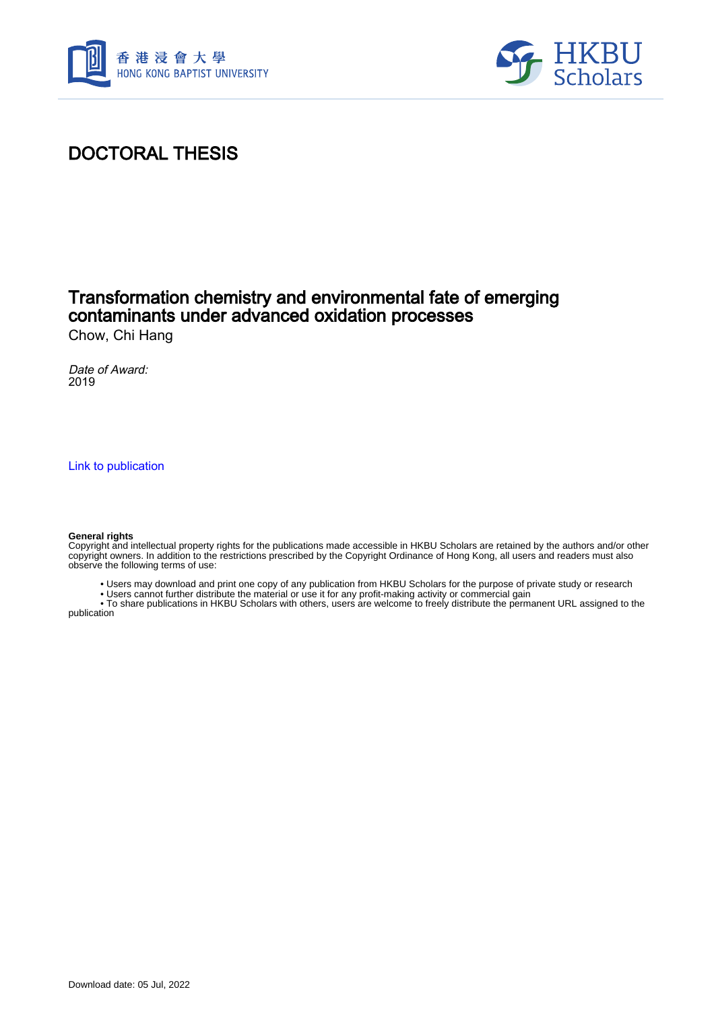



# DOCTORAL THESIS

### Transformation chemistry and environmental fate of emerging contaminants under advanced oxidation processes Chow, Chi Hang

Date of Award: 2019

[Link to publication](https://scholars.hkbu.edu.hk/en/studentTheses/d6145886-c0e1-4e89-b796-1f94277adb7c)

#### **General rights**

Copyright and intellectual property rights for the publications made accessible in HKBU Scholars are retained by the authors and/or other copyright owners. In addition to the restrictions prescribed by the Copyright Ordinance of Hong Kong, all users and readers must also observe the following terms of use:

- Users may download and print one copy of any publication from HKBU Scholars for the purpose of private study or research
- Users cannot further distribute the material or use it for any profit-making activity or commercial gain

 • To share publications in HKBU Scholars with others, users are welcome to freely distribute the permanent URL assigned to the publication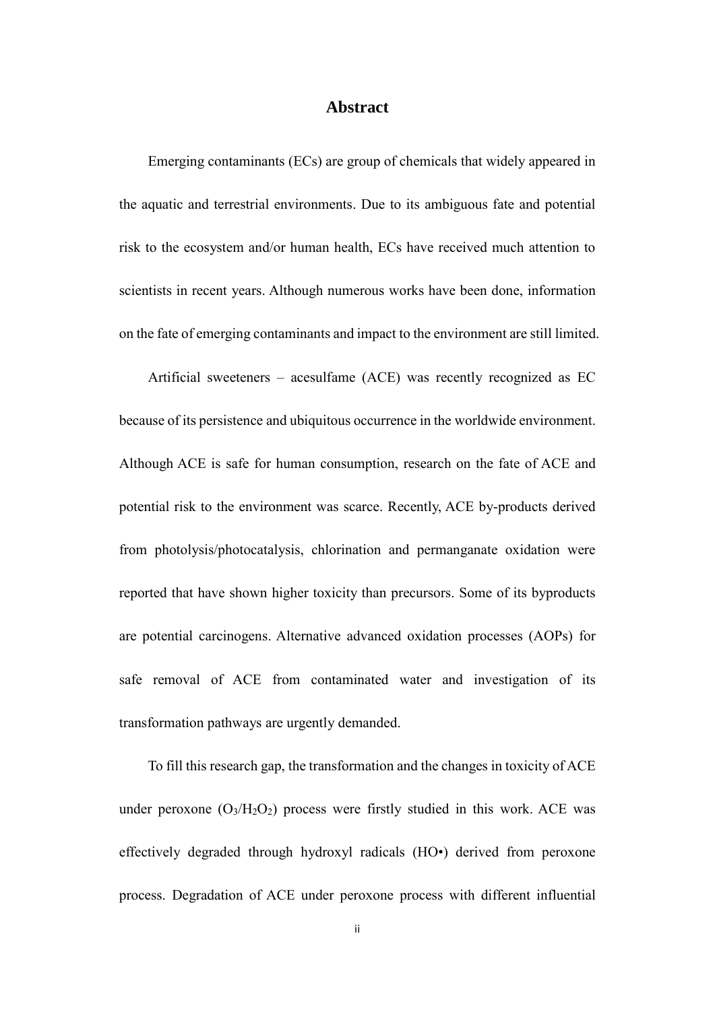### **Abstract**

<span id="page-1-0"></span>Emerging contaminants (ECs) are group of chemicals that widely appeared in the aquatic and terrestrial environments. Due to its ambiguous fate and potential risk to the ecosystem and/or human health, ECs have received much attention to scientists in recent years. Although numerous works have been done, information on the fate of emerging contaminants and impact to the environment are still limited.

Artificial sweeteners – acesulfame (ACE) was recently recognized as EC because of its persistence and ubiquitous occurrence in the worldwide environment. Although ACE is safe for human consumption, research on the fate of ACE and potential risk to the environment was scarce. Recently, ACE by-products derived from photolysis/photocatalysis, chlorination and permanganate oxidation were reported that have shown higher toxicity than precursors. Some of its byproducts are potential carcinogens. Alternative advanced oxidation processes (AOPs) for safe removal of ACE from contaminated water and investigation of its transformation pathways are urgently demanded.

 To fill this research gap, the transformation and the changes in toxicity of ACE under peroxone  $(O_3/H_2O_2)$  process were firstly studied in this work. ACE was effectively degraded through hydroxyl radicals (HO•) derived from peroxone process. Degradation of ACE under peroxone process with different influential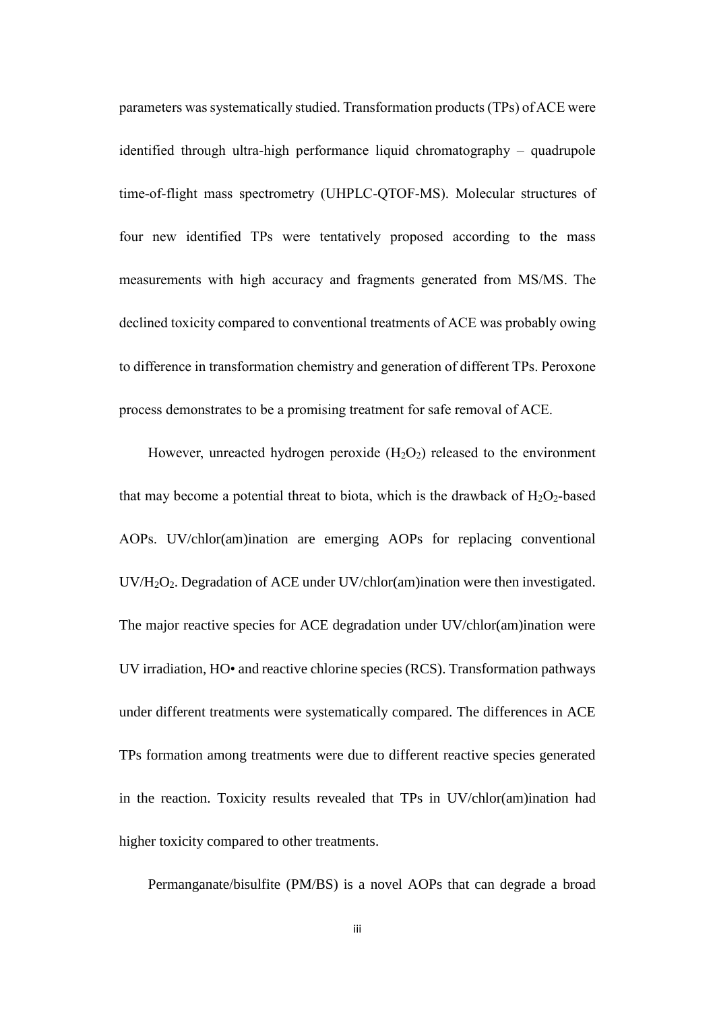parameters was systematically studied. Transformation products (TPs) of ACE were identified through ultra-high performance liquid chromatography – quadrupole time-of-flight mass spectrometry (UHPLC-QTOF-MS). Molecular structures of four new identified TPs were tentatively proposed according to the mass measurements with high accuracy and fragments generated from MS/MS. The declined toxicity compared to conventional treatments of ACE was probably owing to difference in transformation chemistry and generation of different TPs. Peroxone process demonstrates to be a promising treatment for safe removal of ACE.

However, unreacted hydrogen peroxide  $(H_2O_2)$  released to the environment that may become a potential threat to biota, which is the drawback of  $H_2O_2$ -based AOPs. UV/chlor(am)ination are emerging AOPs for replacing conventional UV/H2O2. Degradation of ACE under UV/chlor(am)ination were then investigated. The major reactive species for ACE degradation under UV/chlor(am)ination were UV irradiation, HO• and reactive chlorine species (RCS). Transformation pathways under different treatments were systematically compared. The differences in ACE TPs formation among treatments were due to different reactive species generated in the reaction. Toxicity results revealed that TPs in UV/chlor(am)ination had higher toxicity compared to other treatments.

Permanganate/bisulfite (PM/BS) is a novel AOPs that can degrade a broad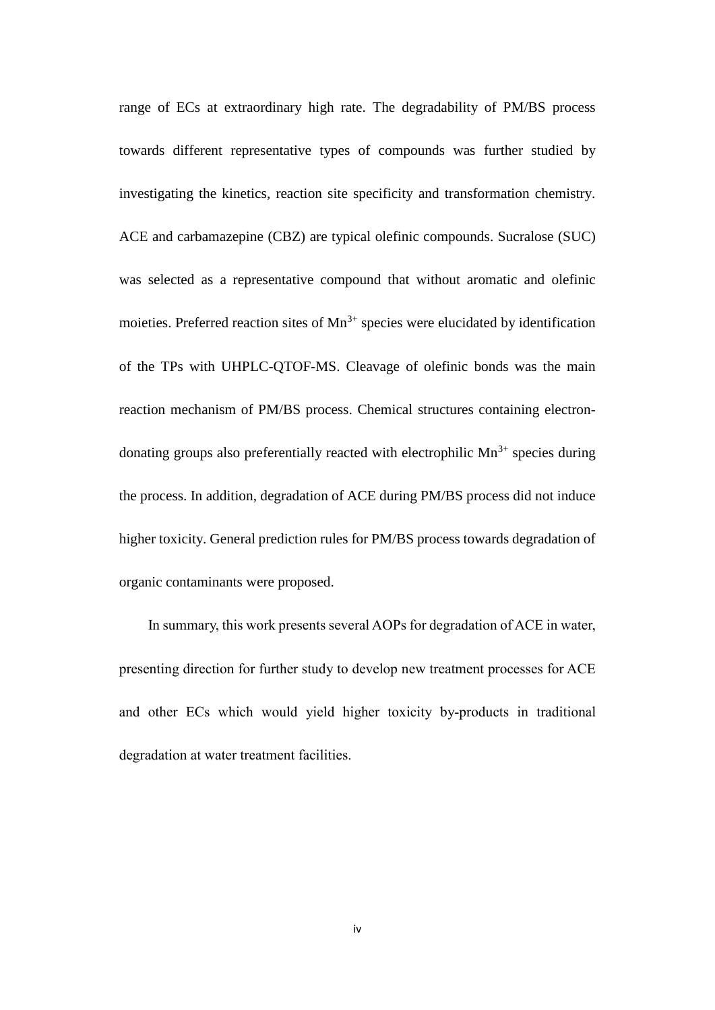range of ECs at extraordinary high rate. The degradability of PM/BS process towards different representative types of compounds was further studied by investigating the kinetics, reaction site specificity and transformation chemistry. ACE and carbamazepine (CBZ) are typical olefinic compounds. Sucralose (SUC) was selected as a representative compound that without aromatic and olefinic moieties. Preferred reaction sites of  $Mn^{3+}$  species were elucidated by identification of the TPs with UHPLC-QTOF-MS. Cleavage of olefinic bonds was the main reaction mechanism of PM/BS process. Chemical structures containing electrondonating groups also preferentially reacted with electrophilic  $Mn^{3+}$  species during the process. In addition, degradation of ACE during PM/BS process did not induce higher toxicity. General prediction rules for PM/BS process towards degradation of organic contaminants were proposed.

 In summary, this work presents several AOPs for degradation of ACE in water, presenting direction for further study to develop new treatment processes for ACE and other ECs which would yield higher toxicity by-products in traditional degradation at water treatment facilities.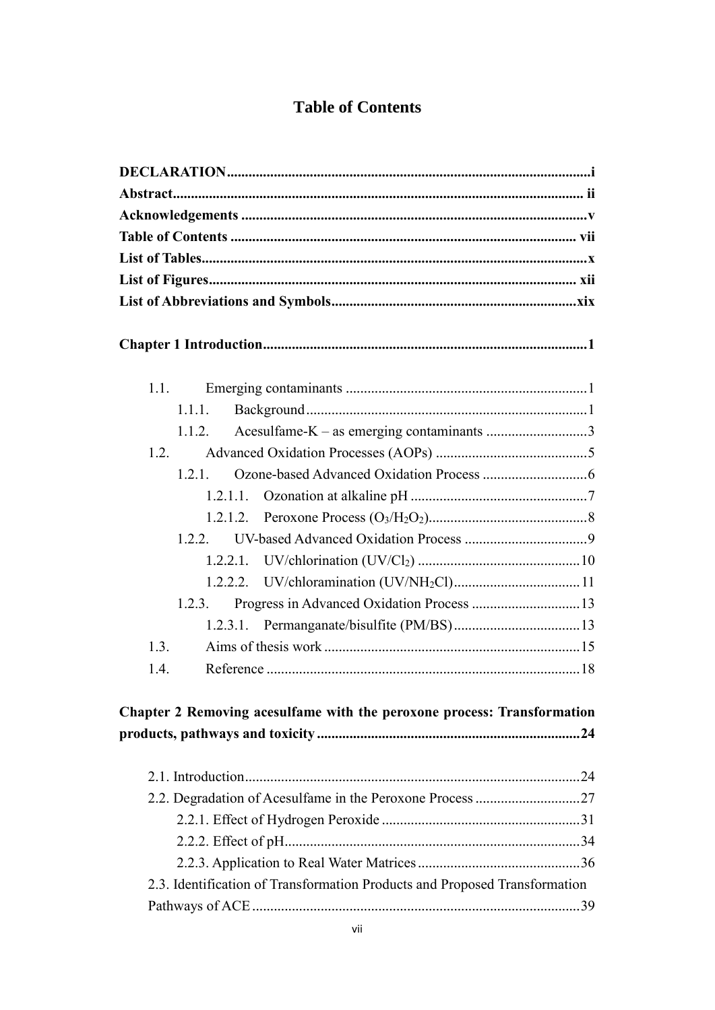## **Table of Contents**

<span id="page-4-0"></span>

| 1.1.                                                                       |  |
|----------------------------------------------------------------------------|--|
| 1.1.1.                                                                     |  |
| Acesulfame-K - as emerging contaminants 3<br>1.1.2.                        |  |
| 1.2.                                                                       |  |
| 1.2.1.                                                                     |  |
| 1.2.1.1.                                                                   |  |
|                                                                            |  |
| 1.2.2.                                                                     |  |
|                                                                            |  |
|                                                                            |  |
| Progress in Advanced Oxidation Process  13<br>1.2.3.                       |  |
|                                                                            |  |
| 1.3.                                                                       |  |
| 1.4.                                                                       |  |
| Chapter 2 Removing acesulfame with the peroxone process: Transformation    |  |
|                                                                            |  |
|                                                                            |  |
|                                                                            |  |
|                                                                            |  |
|                                                                            |  |
| 2.3. Identification of Transformation Products and Proposed Transformation |  |
|                                                                            |  |
|                                                                            |  |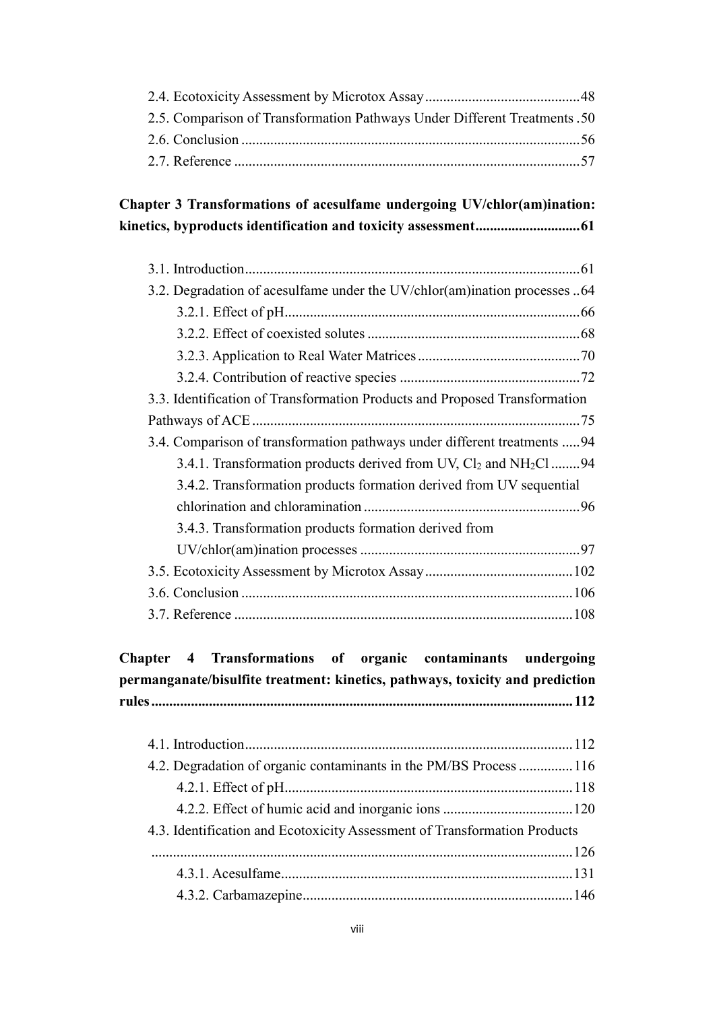| 2.5. Comparison of Transformation Pathways Under Different Treatments .50 |
|---------------------------------------------------------------------------|
|                                                                           |
|                                                                           |

### **[Chapter 3 Transformations of acesulfame undergoing UV/chlor\(am\)ination:](#page--1-10)  [kinetics, byproducts identification and toxicity assessment.............................61](#page--1-10)**

| 3.2. Degradation of acesulfame under the UV/chlor(am)ination processes 64  |
|----------------------------------------------------------------------------|
|                                                                            |
|                                                                            |
|                                                                            |
|                                                                            |
| 3.3. Identification of Transformation Products and Proposed Transformation |
|                                                                            |
| 3.4. Comparison of transformation pathways under different treatments  94  |
| 3.4.1. Transformation products derived from UV, $Cl_2$ and $NH_2Cl$ 94     |
| 3.4.2. Transformation products formation derived from UV sequential        |
|                                                                            |
| 3.4.3. Transformation products formation derived from                      |
|                                                                            |
|                                                                            |
|                                                                            |
|                                                                            |

| Chapter 4 Transformations of organic contaminants undergoing<br>permanganate/bisulfite treatment: kinetics, pathways, toxicity and prediction |  |
|-----------------------------------------------------------------------------------------------------------------------------------------------|--|
|                                                                                                                                               |  |
|                                                                                                                                               |  |
|                                                                                                                                               |  |
| 4.2. Degradation of organic contaminants in the PM/BS Process  116                                                                            |  |
|                                                                                                                                               |  |
|                                                                                                                                               |  |
| 4.3. Identification and Ecotoxicity Assessment of Transformation Products                                                                     |  |
|                                                                                                                                               |  |
|                                                                                                                                               |  |
|                                                                                                                                               |  |